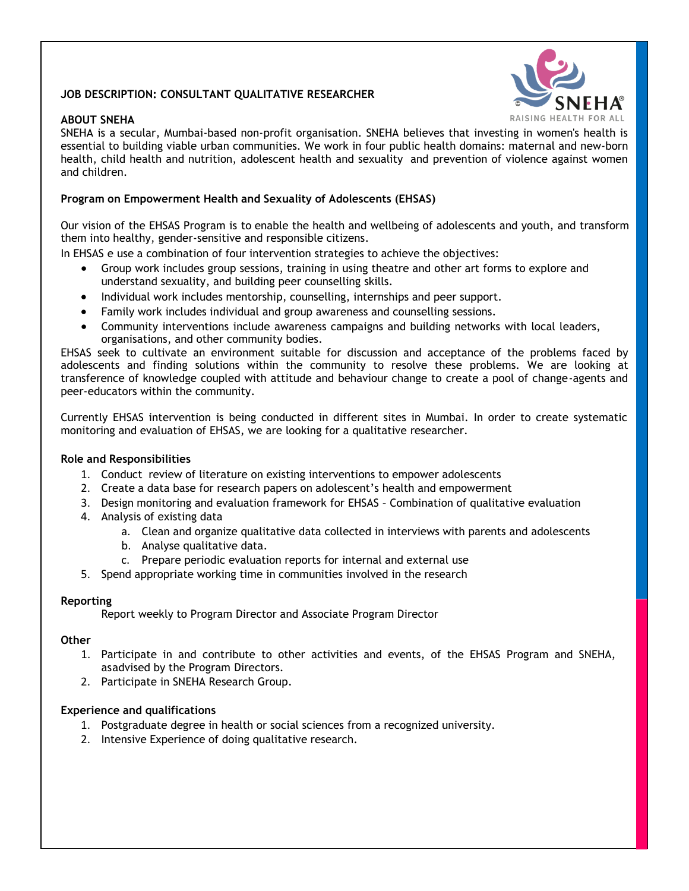# **JOB DESCRIPTION: CONSULTANT QUALITATIVE RESEARCHER**

## **ABOUT SNEHA**



SNEHA is a secular, Mumbai-based non-profit organisation. SNEHA believes that investing in women's health is essential to building viable urban communities. We work in four public health domains: maternal and new-born health, child health and nutrition, adolescent health and sexuality and prevention of violence against women and children.

### **Program on Empowerment Health and Sexuality of Adolescents (EHSAS)**

Our vision of the EHSAS Program is to enable the health and wellbeing of adolescents and youth, and transform them into healthy, gender-sensitive and responsible citizens.

In EHSAS e use a combination of four intervention strategies to achieve the objectives:

- Group work includes group sessions, training in using theatre and other art forms to explore and understand sexuality, and building peer counselling skills.
- Individual work includes mentorship, counselling, internships and peer support.
- Family work includes individual and group awareness and counselling sessions.
- Community interventions include awareness campaigns and building networks with local leaders, organisations, and other community bodies.

EHSAS seek to cultivate an environment suitable for discussion and acceptance of the problems faced by adolescents and finding solutions within the community to resolve these problems. We are looking at transference of knowledge coupled with attitude and behaviour change to create a pool of change-agents and peer-educators within the community.

Currently EHSAS intervention is being conducted in different sites in Mumbai. In order to create systematic monitoring and evaluation of EHSAS, we are looking for a qualitative researcher.

## **Role and Responsibilities**

- 1. Conduct review of literature on existing interventions to empower adolescents
- 2. Create a data base for research papers on adolescent's health and empowerment
- 3. Design monitoring and evaluation framework for EHSAS Combination of qualitative evaluation
- 4. Analysis of existing data
	- a. Clean and organize qualitative data collected in interviews with parents and adolescents
	- b. Analyse qualitative data.
	- c. Prepare periodic evaluation reports for internal and external use
- 5. Spend appropriate working time in communities involved in the research

#### **Reporting**

Report weekly to Program Director and Associate Program Director

#### **Other**

- 1. Participate in and contribute to other activities and events, of the EHSAS Program and SNEHA, asadvised by the Program Directors.
- 2. Participate in SNEHA Research Group.

#### **Experience and qualifications**

- 1. Postgraduate degree in health or social sciences from a recognized university.
- 2. Intensive Experience of doing qualitative research.